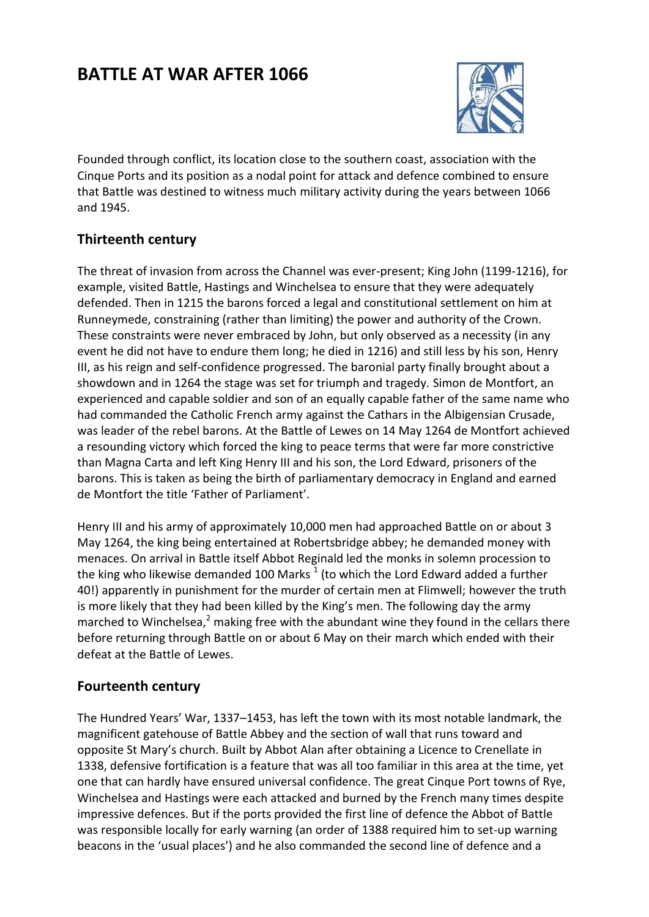# **BATTLE AT WAR AFTER 1066**



Founded through conflict, its location close to the southern coast, association with the Cinque Ports and its position as a nodal point for attack and defence combined to ensure that Battle was destined to witness much military activity during the years between 1066 and 1945.

## **Thirteenth century**

The threat of invasion from across the Channel was ever-present; King John (1199-1216), for example, visited Battle, Hastings and Winchelsea to ensure that they were adequately defended. Then in 1215 the barons forced a legal and constitutional settlement on him at Runneymede, constraining (rather than limiting) the power and authority of the Crown. These constraints were never embraced by John, but only observed as a necessity (in any event he did not have to endure them long; he died in 1216) and still less by his son, Henry III, as his reign and self-confidence progressed. The baronial party finally brought about a showdown and in 1264 the stage was set for triumph and tragedy. Simon de Montfort, an experienced and capable soldier and son of an equally capable father of the same name who had commanded the Catholic French army against the Cathars in the Albigensian Crusade, was leader of the rebel barons. At the Battle of Lewes on 14 May 1264 de Montfort achieved a resounding victory which forced the king to peace terms that were far more constrictive than Magna Carta and left King Henry III and his son, the Lord Edward, prisoners of the barons. This is taken as being the birth of parliamentary democracy in England and earned de Montfort the title 'Father of Parliament'.

Henry III and his army of approximately 10,000 men had approached Battle on or about 3 May 1264, the king being entertained at Robertsbridge abbey; he demanded money with menaces. On arrival in Battle itself Abbot Reginald led the monks in solemn procession to the king who likewise demanded 100 Marks  $^1$  (to which the Lord Edward added a further 40!) apparently in punishment for the murder of certain men at Flimwell; however the truth is more likely that they had been killed by the King's men. The following day the army marched to Winchelsea, $^2$  making free with the abundant wine they found in the cellars there before returning through Battle on or about 6 May on their march which ended with their defeat at the Battle of Lewes.

## **Fourteenth century**

The Hundred Years' War, 1337–1453, has left the town with its most notable landmark, the magnificent gatehouse of Battle Abbey and the section of wall that runs toward and opposite St Mary's church. Built by Abbot Alan after obtaining a Licence to Crenellate in 1338, defensive fortification is a feature that was all too familiar in this area at the time, yet one that can hardly have ensured universal confidence. The great Cinque Port towns of Rye, Winchelsea and Hastings were each attacked and burned by the French many times despite impressive defences. But if the ports provided the first line of defence the Abbot of Battle was responsible locally for early warning (an order of 1388 required him to set-up warning beacons in the 'usual places') and he also commanded the second line of defence and a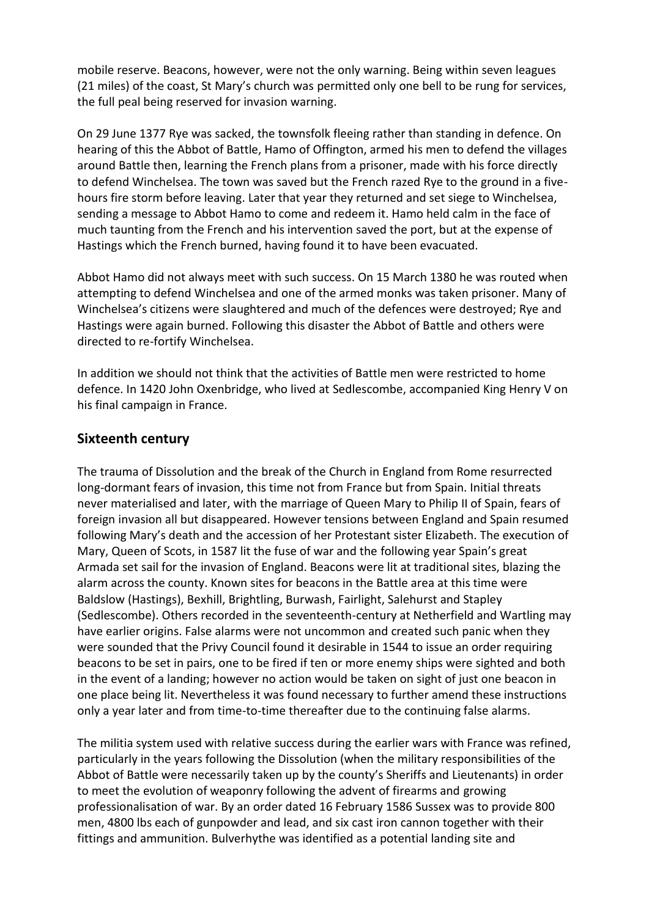mobile reserve. Beacons, however, were not the only warning. Being within seven leagues (21 miles) of the coast, St Mary's church was permitted only one bell to be rung for services, the full peal being reserved for invasion warning.

On 29 June 1377 Rye was sacked, the townsfolk fleeing rather than standing in defence. On hearing of this the Abbot of Battle, Hamo of Offington, armed his men to defend the villages around Battle then, learning the French plans from a prisoner, made with his force directly to defend Winchelsea. The town was saved but the French razed Rye to the ground in a fivehours fire storm before leaving. Later that year they returned and set siege to Winchelsea, sending a message to Abbot Hamo to come and redeem it. Hamo held calm in the face of much taunting from the French and his intervention saved the port, but at the expense of Hastings which the French burned, having found it to have been evacuated.

Abbot Hamo did not always meet with such success. On 15 March 1380 he was routed when attempting to defend Winchelsea and one of the armed monks was taken prisoner. Many of Winchelsea's citizens were slaughtered and much of the defences were destroyed; Rye and Hastings were again burned. Following this disaster the Abbot of Battle and others were directed to re-fortify Winchelsea.

In addition we should not think that the activities of Battle men were restricted to home defence. In 1420 John Oxenbridge, who lived at Sedlescombe, accompanied King Henry V on his final campaign in France.

## **Sixteenth century**

The trauma of Dissolution and the break of the Church in England from Rome resurrected long-dormant fears of invasion, this time not from France but from Spain. Initial threats never materialised and later, with the marriage of Queen Mary to Philip II of Spain, fears of foreign invasion all but disappeared. However tensions between England and Spain resumed following Mary's death and the accession of her Protestant sister Elizabeth. The execution of Mary, Queen of Scots, in 1587 lit the fuse of war and the following year Spain's great Armada set sail for the invasion of England. Beacons were lit at traditional sites, blazing the alarm across the county. Known sites for beacons in the Battle area at this time were Baldslow (Hastings), Bexhill, Brightling, Burwash, Fairlight, Salehurst and Stapley (Sedlescombe). Others recorded in the seventeenth-century at Netherfield and Wartling may have earlier origins. False alarms were not uncommon and created such panic when they were sounded that the Privy Council found it desirable in 1544 to issue an order requiring beacons to be set in pairs, one to be fired if ten or more enemy ships were sighted and both in the event of a landing; however no action would be taken on sight of just one beacon in one place being lit. Nevertheless it was found necessary to further amend these instructions only a year later and from time-to-time thereafter due to the continuing false alarms.

The militia system used with relative success during the earlier wars with France was refined, particularly in the years following the Dissolution (when the military responsibilities of the Abbot of Battle were necessarily taken up by the county's Sheriffs and Lieutenants) in order to meet the evolution of weaponry following the advent of firearms and growing professionalisation of war. By an order dated 16 February 1586 Sussex was to provide 800 men, 4800 lbs each of gunpowder and lead, and six cast iron cannon together with their fittings and ammunition. Bulverhythe was identified as a potential landing site and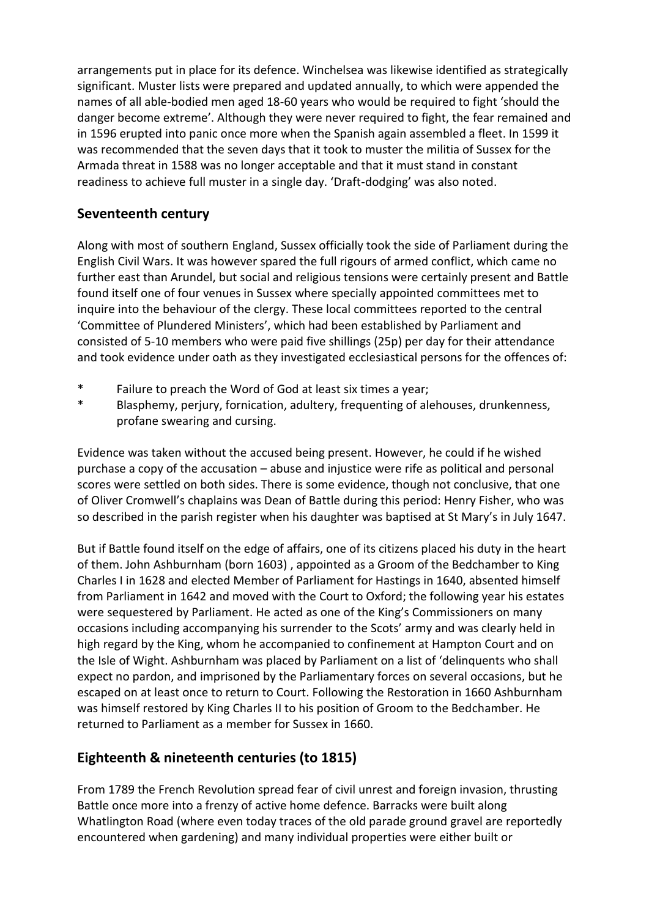arrangements put in place for its defence. Winchelsea was likewise identified as strategically significant. Muster lists were prepared and updated annually, to which were appended the names of all able-bodied men aged 18-60 years who would be required to fight 'should the danger become extreme'. Although they were never required to fight, the fear remained and in 1596 erupted into panic once more when the Spanish again assembled a fleet. In 1599 it was recommended that the seven days that it took to muster the militia of Sussex for the Armada threat in 1588 was no longer acceptable and that it must stand in constant readiness to achieve full muster in a single day. 'Draft-dodging' was also noted.

## **Seventeenth century**

Along with most of southern England, Sussex officially took the side of Parliament during the English Civil Wars. It was however spared the full rigours of armed conflict, which came no further east than Arundel, but social and religious tensions were certainly present and Battle found itself one of four venues in Sussex where specially appointed committees met to inquire into the behaviour of the clergy. These local committees reported to the central 'Committee of Plundered Ministers', which had been established by Parliament and consisted of 5-10 members who were paid five shillings (25p) per day for their attendance and took evidence under oath as they investigated ecclesiastical persons for the offences of:

- \* Failure to preach the Word of God at least six times a year;
- \* Blasphemy, perjury, fornication, adultery, frequenting of alehouses, drunkenness, profane swearing and cursing.

Evidence was taken without the accused being present. However, he could if he wished purchase a copy of the accusation – abuse and injustice were rife as political and personal scores were settled on both sides. There is some evidence, though not conclusive, that one of Oliver Cromwell's chaplains was Dean of Battle during this period: Henry Fisher, who was so described in the parish register when his daughter was baptised at St Mary's in July 1647.

But if Battle found itself on the edge of affairs, one of its citizens placed his duty in the heart of them. John Ashburnham (born 1603) , appointed as a Groom of the Bedchamber to King Charles I in 1628 and elected Member of Parliament for Hastings in 1640, absented himself from Parliament in 1642 and moved with the Court to Oxford; the following year his estates were sequestered by Parliament. He acted as one of the King's Commissioners on many occasions including accompanying his surrender to the Scots' army and was clearly held in high regard by the King, whom he accompanied to confinement at Hampton Court and on the Isle of Wight. Ashburnham was placed by Parliament on a list of 'delinquents who shall expect no pardon, and imprisoned by the Parliamentary forces on several occasions, but he escaped on at least once to return to Court. Following the Restoration in 1660 Ashburnham was himself restored by King Charles II to his position of Groom to the Bedchamber. He returned to Parliament as a member for Sussex in 1660.

## **Eighteenth & nineteenth centuries (to 1815)**

From 1789 the French Revolution spread fear of civil unrest and foreign invasion, thrusting Battle once more into a frenzy of active home defence. Barracks were built along Whatlington Road (where even today traces of the old parade ground gravel are reportedly encountered when gardening) and many individual properties were either built or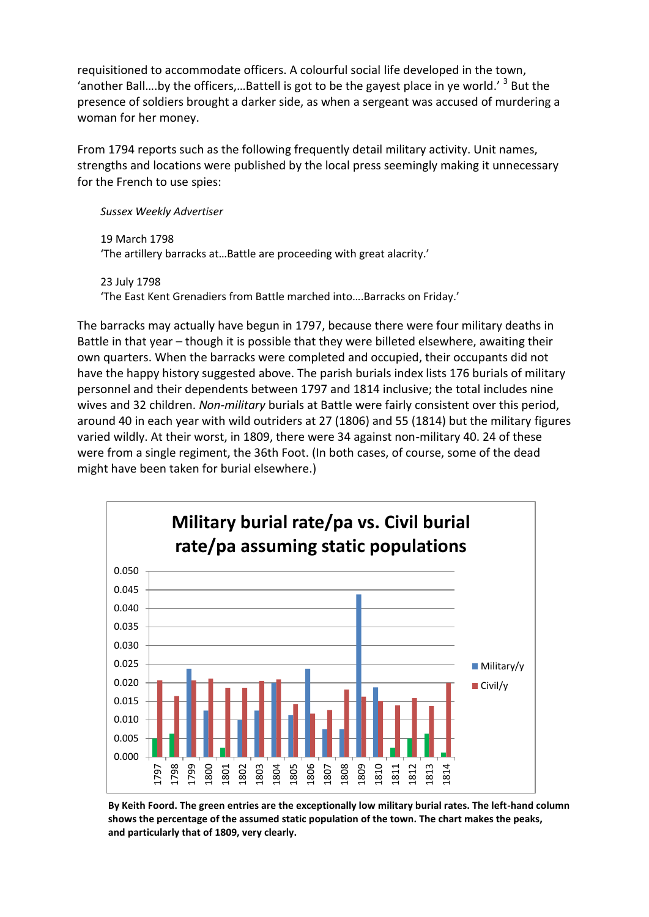requisitioned to accommodate officers. A colourful social life developed in the town, 'another Ball....by the officers,...Battell is got to be the gayest place in ye world.'  $^3$  But the presence of soldiers brought a darker side, as when a sergeant was accused of murdering a woman for her money.

From 1794 reports such as the following frequently detail military activity. Unit names, strengths and locations were published by the local press seemingly making it unnecessary for the French to use spies:

*Sussex Weekly Advertiser*

19 March 1798 'The artillery barracks at…Battle are proceeding with great alacrity.'

23 July 1798 'The East Kent Grenadiers from Battle marched into….Barracks on Friday.'

The barracks may actually have begun in 1797, because there were four military deaths in Battle in that year – though it is possible that they were billeted elsewhere, awaiting their own quarters. When the barracks were completed and occupied, their occupants did not have the happy history suggested above. The parish burials index lists 176 burials of military personnel and their dependents between 1797 and 1814 inclusive; the total includes nine wives and 32 children. *Non-military* burials at Battle were fairly consistent over this period, around 40 in each year with wild outriders at 27 (1806) and 55 (1814) but the military figures varied wildly. At their worst, in 1809, there were 34 against non-military 40. 24 of these were from a single regiment, the 36th Foot. (In both cases, of course, some of the dead might have been taken for burial elsewhere.)



**By Keith Foord. The green entries are the exceptionally low military burial rates. The left-hand column shows the percentage of the assumed static population of the town. The chart makes the peaks, and particularly that of 1809, very clearly.**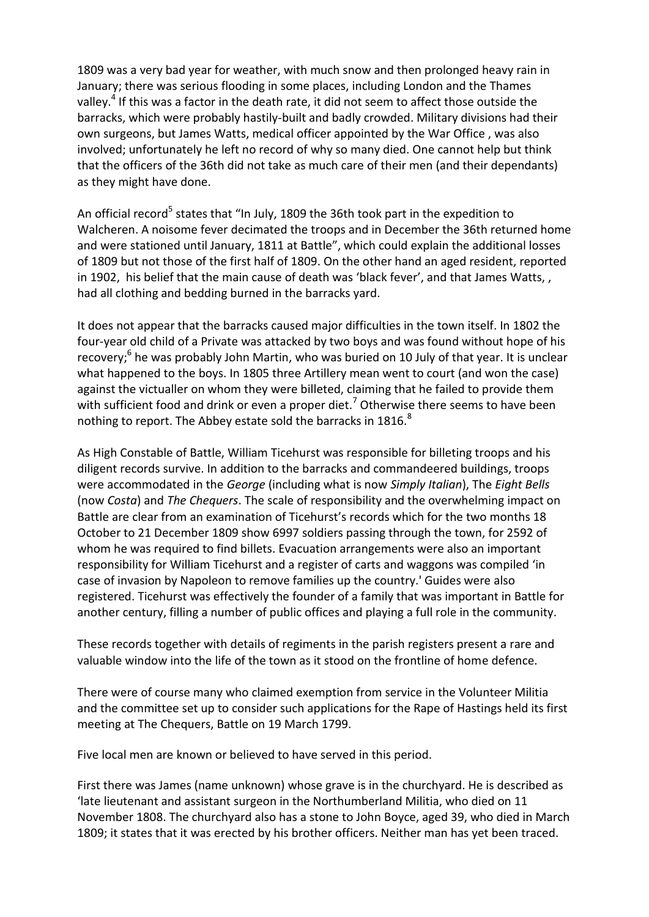1809 was a very bad year for weather, with much snow and then prolonged heavy rain in January; there was serious flooding in some places, including London and the Thames valley.<sup>4</sup> If this was a factor in the death rate, it did not seem to affect those outside the barracks, which were probably hastily-built and badly crowded. Military divisions had their own surgeons, but James Watts, medical officer appointed by the War Office , was also involved; unfortunately he left no record of why so many died. One cannot help but think that the officers of the 36th did not take as much care of their men (and their dependants) as they might have done.

An official record<sup>5</sup> states that "In July, 1809 the 36th took part in the expedition to Walcheren. A noisome fever decimated the troops and in December the 36th returned home and were stationed until January, 1811 at Battle", which could explain the additional losses of 1809 but not those of the first half of 1809. On the other hand an aged resident, reported in 1902, his belief that the main cause of death was 'black fever', and that James Watts, , had all clothing and bedding burned in the barracks yard.

It does not appear that the barracks caused major difficulties in the town itself. In 1802 the four-year old child of a Private was attacked by two boys and was found without hope of his recovery;<sup>6</sup> he was probably John Martin, who was buried on 10 July of that year. It is unclear what happened to the boys. In 1805 three Artillery mean went to court (and won the case) against the victualler on whom they were billeted, claiming that he failed to provide them with sufficient food and drink or even a proper diet.<sup>7</sup> Otherwise there seems to have been nothing to report. The Abbey estate sold the barracks in  $1816$ .<sup>8</sup>

As High Constable of Battle, William Ticehurst was responsible for billeting troops and his diligent records survive. In addition to the barracks and commandeered buildings, troops were accommodated in the *George* (including what is now *Simply Italian*), The *Eight Bells* (now *Costa*) and *The Chequers*. The scale of responsibility and the overwhelming impact on Battle are clear from an examination of Ticehurst's records which for the two months 18 October to 21 December 1809 show 6997 soldiers passing through the town, for 2592 of whom he was required to find billets. Evacuation arrangements were also an important responsibility for William Ticehurst and a register of carts and waggons was compiled 'in case of invasion by Napoleon to remove families up the country.' Guides were also registered. Ticehurst was effectively the founder of a family that was important in Battle for another century, filling a number of public offices and playing a full role in the community.

These records together with details of regiments in the parish registers present a rare and valuable window into the life of the town as it stood on the frontline of home defence.

There were of course many who claimed exemption from service in the Volunteer Militia and the committee set up to consider such applications for the Rape of Hastings held its first meeting at The Chequers, Battle on 19 March 1799.

Five local men are known or believed to have served in this period.

First there was James (name unknown) whose grave is in the churchyard. He is described as 'late lieutenant and assistant surgeon in the Northumberland Militia, who died on 11 November 1808. The churchyard also has a stone to John Boyce, aged 39, who died in March 1809; it states that it was erected by his brother officers. Neither man has yet been traced.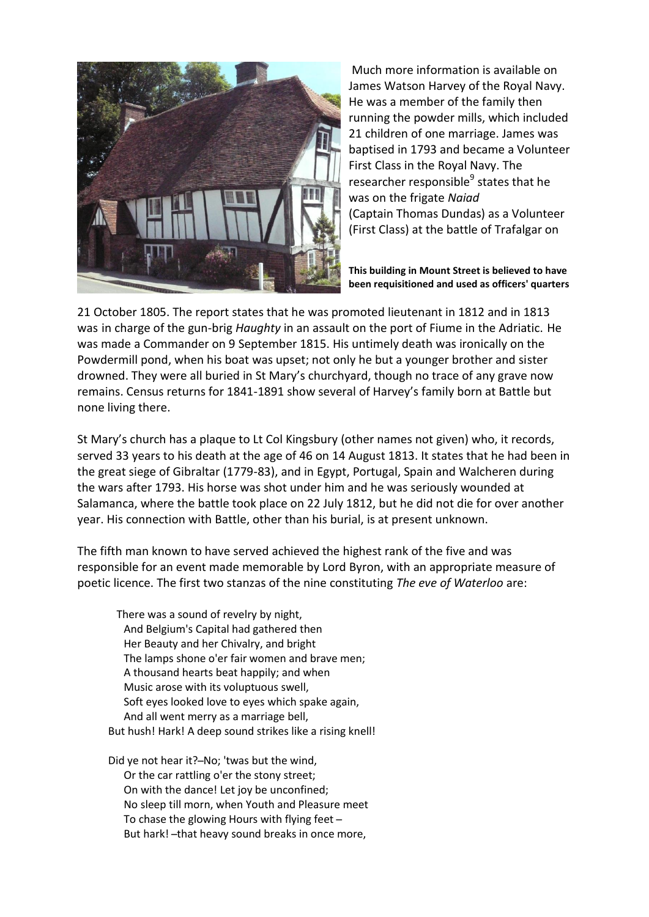

Much more information is available on James Watson Harvey of the Royal Navy. He was a member of the family then running the powder mills, which included 21 children of one marriage. James was baptised in 1793 and became a Volunteer First Class in the Royal Navy. The researcher responsible<sup>9</sup> states that he was on the frigate *Naiad* (Captain Thomas Dundas) as a Volunteer (First Class) at the battle of Trafalgar on

**This building in Mount Street is believed to have been requisitioned and used as officers' quarters**

21 October 1805. The report states that he was promoted lieutenant in 1812 and in 1813 was in charge of the gun-brig *Haughty* in an assault on the port of Fiume in the Adriatic. He was made a Commander on 9 September 1815. His untimely death was ironically on the Powdermill pond, when his boat was upset; not only he but a younger brother and sister drowned. They were all buried in St Mary's churchyard, though no trace of any grave now remains. Census returns for 1841-1891 show several of Harvey's family born at Battle but none living there.

St Mary's church has a plaque to Lt Col Kingsbury (other names not given) who, it records, served 33 years to his death at the age of 46 on 14 August 1813. It states that he had been in the great siege of Gibraltar (1779-83), and in Egypt, Portugal, Spain and Walcheren during the wars after 1793. His horse was shot under him and he was seriously wounded at Salamanca, where the battle took place on 22 July 1812, but he did not die for over another year. His connection with Battle, other than his burial, is at present unknown.

The fifth man known to have served achieved the highest rank of the five and was responsible for an event made memorable by Lord Byron, with an appropriate measure of poetic licence. The first two stanzas of the nine constituting *The eve of Waterloo* are:

There was a sound of revelry by night, And Belgium's Capital had gathered then Her Beauty and her Chivalry, and bright The lamps shone o'er fair women and brave men; A thousand hearts beat happily; and when Music arose with its voluptuous swell, Soft eyes looked love to eyes which spake again, And all went merry as a marriage bell, But hush! Hark! A deep sound strikes like a rising knell!

Did ye not hear it?-No; 'twas but the wind, Or the car rattling o'er the stony street; On with the dance! Let joy be unconfined; No sleep till morn, when Youth and Pleasure meet To chase the glowing Hours with flying feet ̶ But hark! - that heavy sound breaks in once more,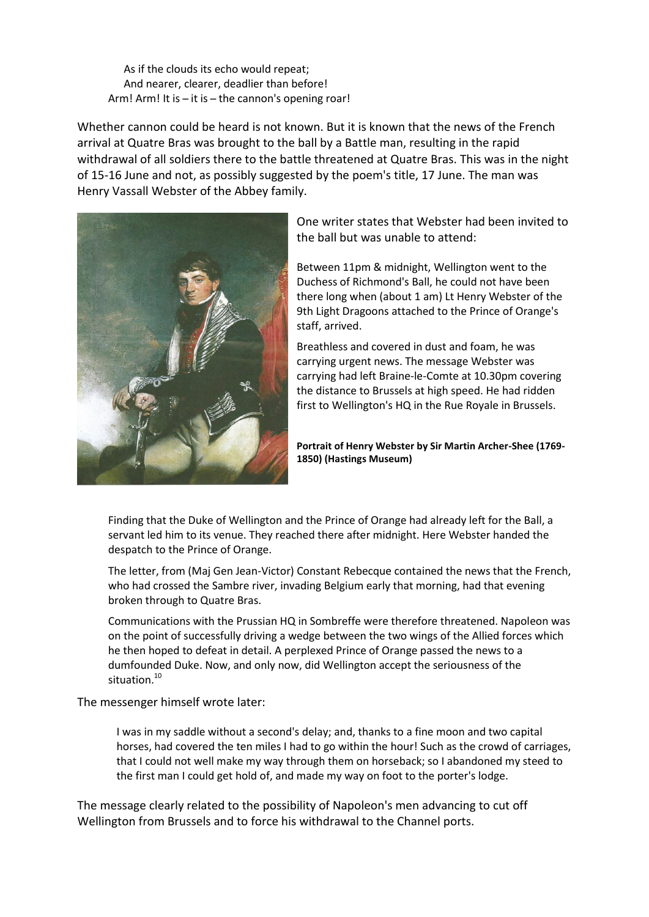As if the clouds its echo would repeat; And nearer, clearer, deadlier than before! Arm! Arm! It is  $-$  it is  $-$  the cannon's opening roar!

Whether cannon could be heard is not known. But it is known that the news of the French arrival at Quatre Bras was brought to the ball by a Battle man, resulting in the rapid withdrawal of all soldiers there to the battle threatened at Quatre Bras. This was in the night of 15-16 June and not, as possibly suggested by the poem's title, 17 June. The man was Henry Vassall Webster of the Abbey family.



One writer states that Webster had been invited to the ball but was unable to attend:

Between 11pm & midnight, Wellington went to the Duchess of Richmond's Ball, he could not have been there long when (about 1 am) Lt Henry Webster of the 9th Light Dragoons attached to the Prince of Orange's staff, arrived.

Breathless and covered in dust and foam, he was carrying urgent news. The message Webster was carrying had left Braine-le-Comte at 10.30pm covering the distance to Brussels at high speed. He had ridden first to Wellington's HQ in the Rue Royale in Brussels.

**Portrait of Henry Webster by Sir Martin Archer-Shee (1769- 1850) (Hastings Museum)**

Finding that the Duke of Wellington and the Prince of Orange had already left for the Ball, a servant led him to its venue. They reached there after midnight. Here Webster handed the despatch to the Prince of Orange.

The letter, from (Maj Gen Jean-Victor) Constant Rebecque contained the news that the French, who had crossed the Sambre river, invading Belgium early that morning, had that evening broken through to Quatre Bras.

Communications with the Prussian HQ in Sombreffe were therefore threatened. Napoleon was on the point of successfully driving a wedge between the two wings of the Allied forces which he then hoped to defeat in detail. A perplexed Prince of Orange passed the news to a dumfounded Duke. Now, and only now, did Wellington accept the seriousness of the situation.<sup>10</sup>

The messenger himself wrote later:

I was in my saddle without a second's delay; and, thanks to a fine moon and two capital horses, had covered the ten miles I had to go within the hour! Such as the crowd of carriages, that I could not well make my way through them on horseback; so I abandoned my steed to the first man I could get hold of, and made my way on foot to the porter's lodge.

The message clearly related to the possibility of Napoleon's men advancing to cut off Wellington from Brussels and to force his withdrawal to the Channel ports.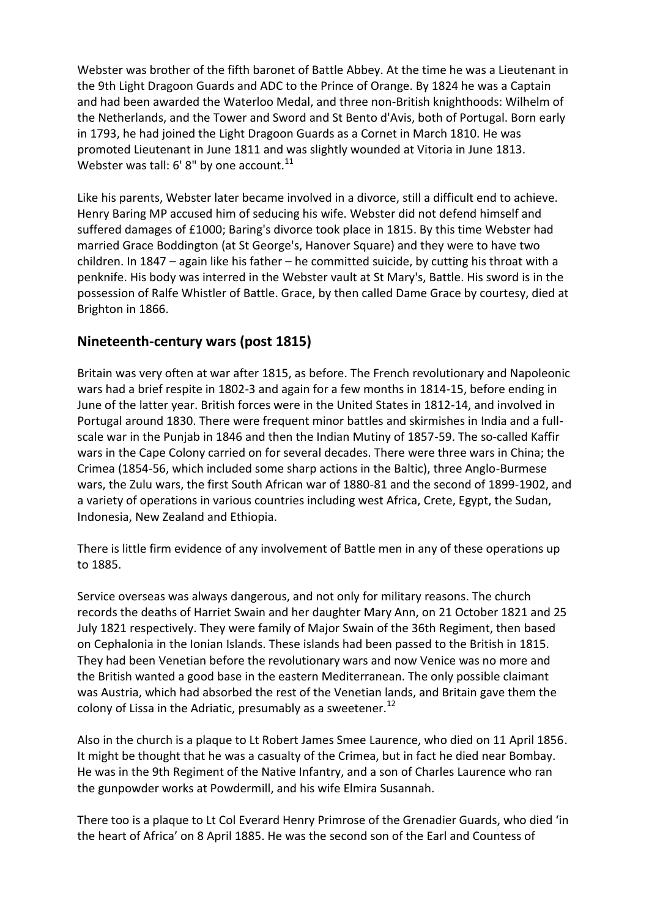Webster was brother of the fifth baronet of Battle Abbey. At the time he was a Lieutenant in the 9th Light Dragoon Guards and ADC to the Prince of Orange. By 1824 he was a Captain and had been awarded the Waterloo Medal, and three non-British knighthoods: Wilhelm of the Netherlands, and the Tower and Sword and St Bento d'Avis, both of Portugal. Born early in 1793, he had joined the Light Dragoon Guards as a Cornet in March 1810. He was promoted Lieutenant in June 1811 and was slightly wounded at Vitoria in June 1813. Webster was tall:  $6'$  8" by one account.<sup>11</sup>

Like his parents, Webster later became involved in a divorce, still a difficult end to achieve. Henry Baring MP accused him of seducing his wife. Webster did not defend himself and suffered damages of £1000; Baring's divorce took place in 1815. By this time Webster had married Grace Boddington (at St George's, Hanover Square) and they were to have two children. In 1847 – again like his father – he committed suicide, by cutting his throat with a penknife. His body was interred in the Webster vault at St Mary's, Battle. His sword is in the possession of Ralfe Whistler of Battle. Grace, by then called Dame Grace by courtesy, died at Brighton in 1866.

## **Nineteenth-century wars (post 1815)**

Britain was very often at war after 1815, as before. The French revolutionary and Napoleonic wars had a brief respite in 1802-3 and again for a few months in 1814-15, before ending in June of the latter year. British forces were in the United States in 1812-14, and involved in Portugal around 1830. There were frequent minor battles and skirmishes in India and a fullscale war in the Punjab in 1846 and then the Indian Mutiny of 1857-59. The so-called Kaffir wars in the Cape Colony carried on for several decades. There were three wars in China; the Crimea (1854-56, which included some sharp actions in the Baltic), three Anglo-Burmese wars, the Zulu wars, the first South African war of 1880-81 and the second of 1899-1902, and a variety of operations in various countries including west Africa, Crete, Egypt, the Sudan, Indonesia, New Zealand and Ethiopia.

There is little firm evidence of any involvement of Battle men in any of these operations up to 1885.

Service overseas was always dangerous, and not only for military reasons. The church records the deaths of Harriet Swain and her daughter Mary Ann, on 21 October 1821 and 25 July 1821 respectively. They were family of Major Swain of the 36th Regiment, then based on Cephalonia in the Ionian Islands. These islands had been passed to the British in 1815. They had been Venetian before the revolutionary wars and now Venice was no more and the British wanted a good base in the eastern Mediterranean. The only possible claimant was Austria, which had absorbed the rest of the Venetian lands, and Britain gave them the colony of Lissa in the Adriatic, presumably as a sweetener.<sup>12</sup>

Also in the church is a plaque to Lt Robert James Smee Laurence, who died on 11 April 1856. It might be thought that he was a casualty of the Crimea, but in fact he died near Bombay. He was in the 9th Regiment of the Native Infantry, and a son of Charles Laurence who ran the gunpowder works at Powdermill, and his wife Elmira Susannah.

There too is a plaque to Lt Col Everard Henry Primrose of the Grenadier Guards, who died 'in the heart of Africa' on 8 April 1885. He was the second son of the Earl and Countess of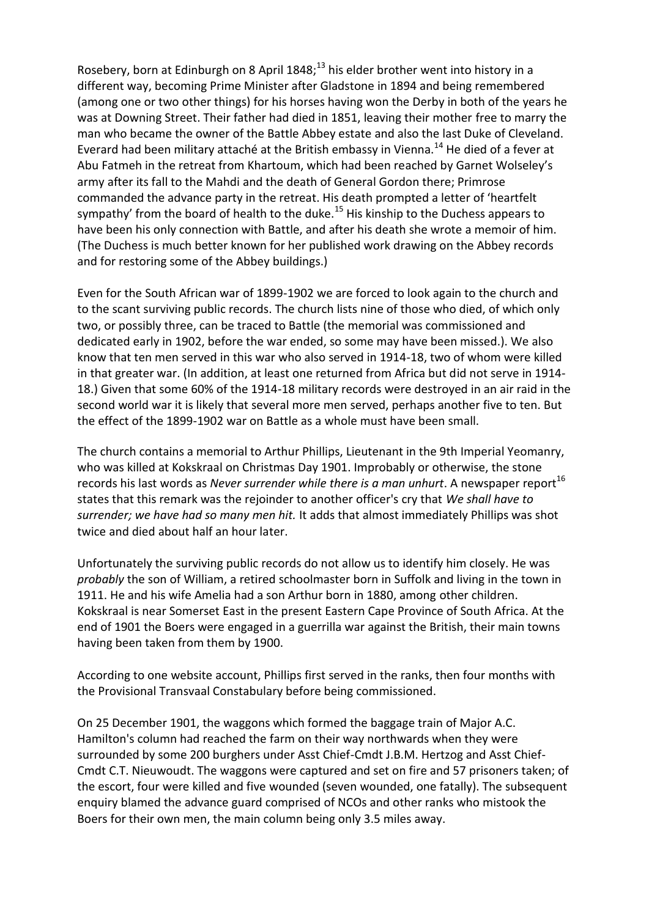Rosebery, born at Edinburgh on 8 April 1848;<sup>13</sup> his elder brother went into history in a different way, becoming Prime Minister after Gladstone in 1894 and being remembered (among one or two other things) for his horses having won the Derby in both of the years he was at Downing Street. Their father had died in 1851, leaving their mother free to marry the man who became the owner of the Battle Abbey estate and also the last Duke of Cleveland. Everard had been military attaché at the British embassy in Vienna.<sup>14</sup> He died of a fever at Abu Fatmeh in the retreat from Khartoum, which had been reached by Garnet Wolseley's army after its fall to the Mahdi and the death of General Gordon there; Primrose commanded the advance party in the retreat. His death prompted a letter of 'heartfelt sympathy' from the board of health to the duke.<sup>15</sup> His kinship to the Duchess appears to have been his only connection with Battle, and after his death she wrote a memoir of him. (The Duchess is much better known for her published work drawing on the Abbey records and for restoring some of the Abbey buildings.)

Even for the South African war of 1899-1902 we are forced to look again to the church and to the scant surviving public records. The church lists nine of those who died, of which only two, or possibly three, can be traced to Battle (the memorial was commissioned and dedicated early in 1902, before the war ended, so some may have been missed.). We also know that ten men served in this war who also served in 1914-18, two of whom were killed in that greater war. (In addition, at least one returned from Africa but did not serve in 1914- 18.) Given that some 60% of the 1914-18 military records were destroyed in an air raid in the second world war it is likely that several more men served, perhaps another five to ten. But the effect of the 1899-1902 war on Battle as a whole must have been small.

The church contains a memorial to Arthur Phillips, Lieutenant in the 9th Imperial Yeomanry, who was killed at Kokskraal on Christmas Day 1901. Improbably or otherwise, the stone records his last words as *Never surrender while there is a man unhurt*. A newspaper report<sup>16</sup> states that this remark was the rejoinder to another officer's cry that *We shall have to surrender; we have had so many men hit.* It adds that almost immediately Phillips was shot twice and died about half an hour later.

Unfortunately the surviving public records do not allow us to identify him closely. He was *probably* the son of William, a retired schoolmaster born in Suffolk and living in the town in 1911. He and his wife Amelia had a son Arthur born in 1880, among other children. Kokskraal is near Somerset East in the present Eastern Cape Province of South Africa. At the end of 1901 the Boers were engaged in a guerrilla war against the British, their main towns having been taken from them by 1900.

According to one website account, Phillips first served in the ranks, then four months with the Provisional Transvaal Constabulary before being commissioned.

On 25 December 1901, the waggons which formed the baggage train of Major A.C. Hamilton's column had reached the farm on their way northwards when they were surrounded by some 200 burghers under Asst Chief-Cmdt J.B.M. Hertzog and Asst Chief-Cmdt C.T. Nieuwoudt. The waggons were captured and set on fire and 57 prisoners taken; of the escort, four were killed and five wounded (seven wounded, one fatally). The subsequent enquiry blamed the advance guard comprised of NCOs and other ranks who mistook the Boers for their own men, the main column being only 3.5 miles away.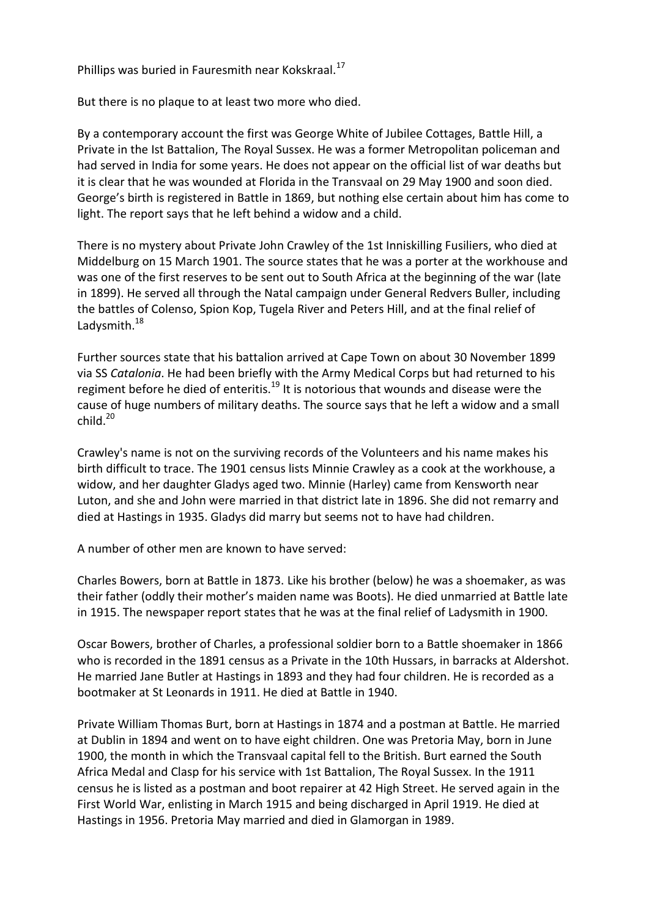Phillips was buried in Fauresmith near Kokskraal.<sup>17</sup>

But there is no plaque to at least two more who died.

By a contemporary account the first was George White of Jubilee Cottages, Battle Hill, a Private in the Ist Battalion, The Royal Sussex. He was a former Metropolitan policeman and had served in India for some years. He does not appear on the official list of war deaths but it is clear that he was wounded at Florida in the Transvaal on 29 May 1900 and soon died. George's birth is registered in Battle in 1869, but nothing else certain about him has come to light. The report says that he left behind a widow and a child.

There is no mystery about Private John Crawley of the 1st Inniskilling Fusiliers, who died at Middelburg on 15 March 1901. The source states that he was a porter at the workhouse and was one of the first reserves to be sent out to South Africa at the beginning of the war (late in 1899). He served all through the Natal campaign under General Redvers Buller, including the battles of Colenso, Spion Kop, Tugela River and Peters Hill, and at the final relief of Ladysmith.<sup>18</sup>

Further sources state that his battalion arrived at Cape Town on about 30 November 1899 via SS *Catalonia*. He had been briefly with the Army Medical Corps but had returned to his regiment before he died of enteritis.<sup>19</sup> It is notorious that wounds and disease were the cause of huge numbers of military deaths. The source says that he left a widow and a small  $child.<sup>20</sup>$ 

Crawley's name is not on the surviving records of the Volunteers and his name makes his birth difficult to trace. The 1901 census lists Minnie Crawley as a cook at the workhouse, a widow, and her daughter Gladys aged two. Minnie (Harley) came from Kensworth near Luton, and she and John were married in that district late in 1896. She did not remarry and died at Hastings in 1935. Gladys did marry but seems not to have had children.

A number of other men are known to have served:

Charles Bowers, born at Battle in 1873. Like his brother (below) he was a shoemaker, as was their father (oddly their mother's maiden name was Boots). He died unmarried at Battle late in 1915. The newspaper report states that he was at the final relief of Ladysmith in 1900.

Oscar Bowers, brother of Charles, a professional soldier born to a Battle shoemaker in 1866 who is recorded in the 1891 census as a Private in the 10th Hussars, in barracks at Aldershot. He married Jane Butler at Hastings in 1893 and they had four children. He is recorded as a bootmaker at St Leonards in 1911. He died at Battle in 1940.

Private William Thomas Burt, born at Hastings in 1874 and a postman at Battle. He married at Dublin in 1894 and went on to have eight children. One was Pretoria May, born in June 1900, the month in which the Transvaal capital fell to the British. Burt earned the South Africa Medal and Clasp for his service with 1st Battalion, The Royal Sussex. In the 1911 census he is listed as a postman and boot repairer at 42 High Street. He served again in the First World War, enlisting in March 1915 and being discharged in April 1919. He died at Hastings in 1956. Pretoria May married and died in Glamorgan in 1989.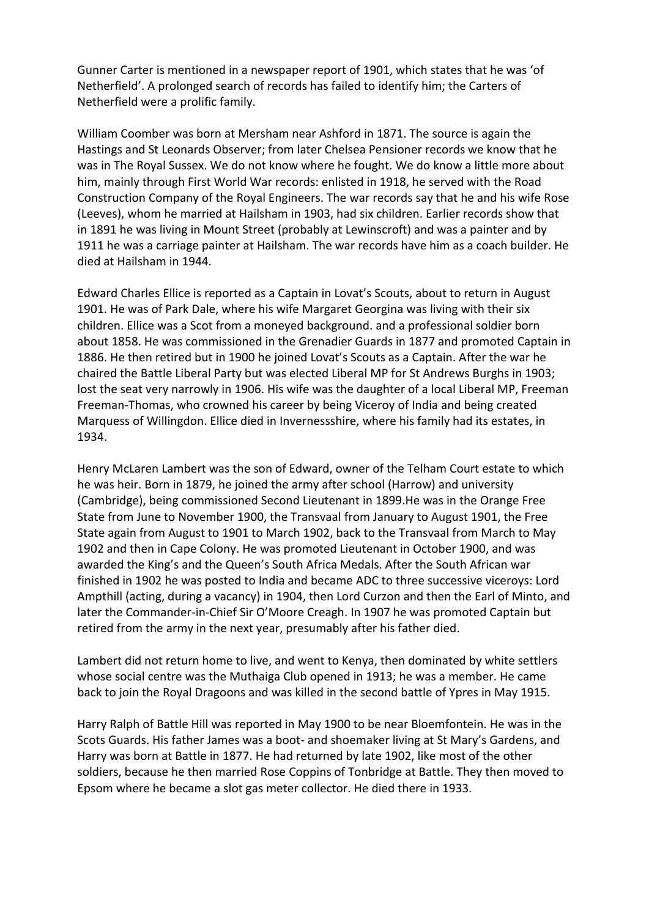Gunner Carter is mentioned in a newspaper report of 1901, which states that he was 'of Netherfield'. A prolonged search of records has failed to identify him; the Carters of Netherfield were a prolific family.

William Coomber was born at Mersham near Ashford in 1871. The source is again the Hastings and St Leonards Observer; from later Chelsea Pensioner records we know that he was in The Royal Sussex. We do not know where he fought. We do know a little more about him, mainly through First World War records: enlisted in 1918, he served with the Road Construction Company of the Royal Engineers. The war records say that he and his wife Rose (Leeves), whom he married at Hailsham in 1903, had six children. Earlier records show that in 1891 he was living in Mount Street (probably at Lewinscroft) and was a painter and by 1911 he was a carriage painter at Hailsham. The war records have him as a coach builder. He died at Hailsham in 1944.

Edward Charles Ellice is reported as a Captain in Lovat's Scouts, about to return in August 1901. He was of Park Dale, where his wife Margaret Georgina was living with their six children. Ellice was a Scot from a moneyed background. and a professional soldier born about 1858. He was commissioned in the Grenadier Guards in 1877 and promoted Captain in 1886. He then retired but in 1900 he joined Lovat's Scouts as a Captain. After the war he chaired the Battle Liberal Party but was elected Liberal MP for St Andrews Burghs in 1903; lost the seat very narrowly in 1906. His wife was the daughter of a local Liberal MP, Freeman Freeman-Thomas, who crowned his career by being Viceroy of India and being created Marquess of Willingdon. Ellice died in Invernessshire, where his family had its estates, in 1934.

Henry McLaren Lambert was the son of Edward, owner of the Telham Court estate to which he was heir. Born in 1879, he joined the army after school (Harrow) and university (Cambridge), being commissioned Second Lieutenant in 1899.He was in the Orange Free State from June to November 1900, the Transvaal from January to August 1901, the Free State again from August to 1901 to March 1902, back to the Transvaal from March to May 1902 and then in Cape Colony. He was promoted Lieutenant in October 1900, and was awarded the King's and the Queen's South Africa Medals. After the South African war finished in 1902 he was posted to India and became ADC to three successive viceroys: Lord Ampthill (acting, during a vacancy) in 1904, then Lord Curzon and then the Earl of Minto, and later the Commander-in-Chief Sir O'Moore Creagh. In 1907 he was promoted Captain but retired from the army in the next year, presumably after his father died.

Lambert did not return home to live, and went to Kenya, then dominated by white settlers whose social centre was the Muthaiga Club opened in 1913; he was a member. He came back to join the Royal Dragoons and was killed in the second battle of Ypres in May 1915.

Harry Ralph of Battle Hill was reported in May 1900 to be near Bloemfontein. He was in the Scots Guards. His father James was a boot- and shoemaker living at St Mary's Gardens, and Harry was born at Battle in 1877. He had returned by late 1902, like most of the other soldiers, because he then married Rose Coppins of Tonbridge at Battle. They then moved to Epsom where he became a slot gas meter collector. He died there in 1933.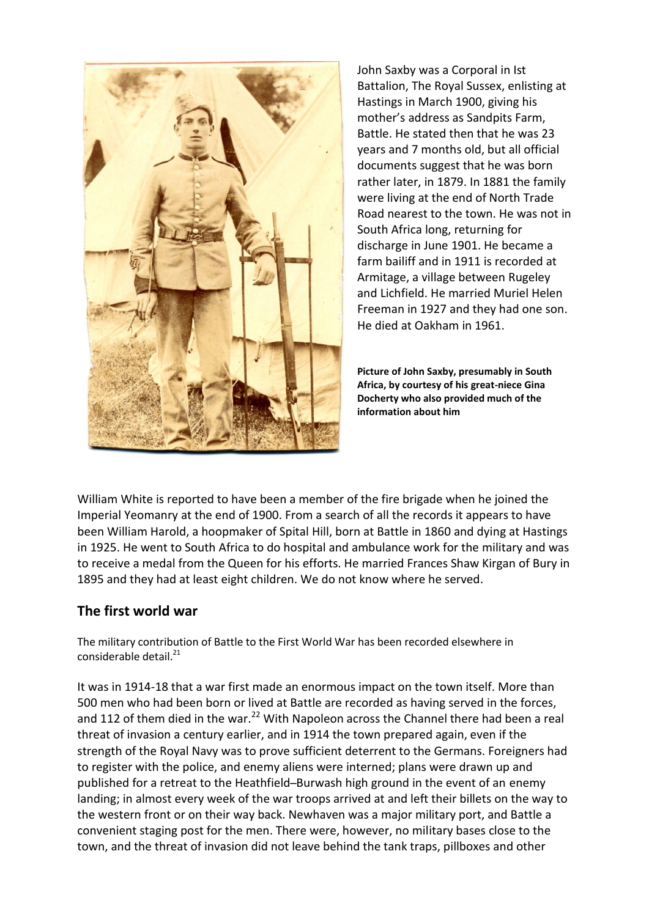

John Saxby was a Corporal in Ist Battalion, The Royal Sussex, enlisting at Hastings in March 1900, giving his mother's address as Sandpits Farm, Battle. He stated then that he was 23 years and 7 months old, but all official documents suggest that he was born rather later, in 1879. In 1881 the family were living at the end of North Trade Road nearest to the town. He was not in South Africa long, returning for discharge in June 1901. He became a farm bailiff and in 1911 is recorded at Armitage, a village between Rugeley and Lichfield. He married Muriel Helen Freeman in 1927 and they had one son. He died at Oakham in 1961.

**Picture of John Saxby, presumably in South Africa, by courtesy of his great-niece Gina Docherty who also provided much of the information about him**

William White is reported to have been a member of the fire brigade when he joined the Imperial Yeomanry at the end of 1900. From a search of all the records it appears to have been William Harold, a hoopmaker of Spital Hill, born at Battle in 1860 and dying at Hastings in 1925. He went to South Africa to do hospital and ambulance work for the military and was to receive a medal from the Queen for his efforts. He married Frances Shaw Kirgan of Bury in 1895 and they had at least eight children. We do not know where he served.

## **The first world war**

The military contribution of Battle to the First World War has been recorded elsewhere in considerable detail.<sup>21</sup>

It was in 1914-18 that a war first made an enormous impact on the town itself. More than 500 men who had been born or lived at Battle are recorded as having served in the forces, and 112 of them died in the war.<sup>22</sup> With Napoleon across the Channel there had been a real threat of invasion a century earlier, and in 1914 the town prepared again, even if the strength of the Royal Navy was to prove sufficient deterrent to the Germans. Foreigners had to register with the police, and enemy aliens were interned; plans were drawn up and published for a retreat to the Heathfield–Burwash high ground in the event of an enemy landing; in almost every week of the war troops arrived at and left their billets on the way to the western front or on their way back. Newhaven was a major military port, and Battle a convenient staging post for the men. There were, however, no military bases close to the town, and the threat of invasion did not leave behind the tank traps, pillboxes and other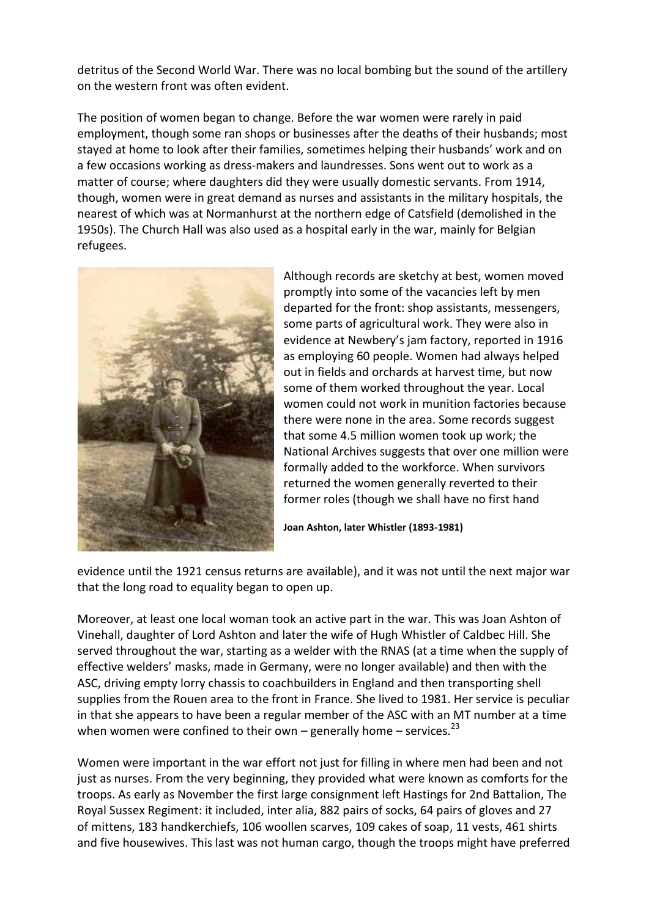detritus of the Second World War. There was no local bombing but the sound of the artillery on the western front was often evident.

The position of women began to change. Before the war women were rarely in paid employment, though some ran shops or businesses after the deaths of their husbands; most stayed at home to look after their families, sometimes helping their husbands' work and on a few occasions working as dress-makers and laundresses. Sons went out to work as a matter of course; where daughters did they were usually domestic servants. From 1914, though, women were in great demand as nurses and assistants in the military hospitals, the nearest of which was at Normanhurst at the northern edge of Catsfield (demolished in the 1950s). The Church Hall was also used as a hospital early in the war, mainly for Belgian refugees.



Although records are sketchy at best, women moved promptly into some of the vacancies left by men departed for the front: shop assistants, messengers, some parts of agricultural work. They were also in evidence at Newbery's jam factory, reported in 1916 as employing 60 people. Women had always helped out in fields and orchards at harvest time, but now some of them worked throughout the year. Local women could not work in munition factories because there were none in the area. Some records suggest that some 4.5 million women took up work; the National Archives suggests that over one million were formally added to the workforce. When survivors returned the women generally reverted to their former roles (though we shall have no first hand

**Joan Ashton, later Whistler (1893-1981)**

evidence until the 1921 census returns are available), and it was not until the next major war that the long road to equality began to open up.

Moreover, at least one local woman took an active part in the war. This was Joan Ashton of Vinehall, daughter of Lord Ashton and later the wife of Hugh Whistler of Caldbec Hill. She served throughout the war, starting as a welder with the RNAS (at a time when the supply of effective welders' masks, made in Germany, were no longer available) and then with the ASC, driving empty lorry chassis to coachbuilders in England and then transporting shell supplies from the Rouen area to the front in France. She lived to 1981. Her service is peculiar in that she appears to have been a regular member of the ASC with an MT number at a time when women were confined to their own – generally home – services.<sup>23</sup>

Women were important in the war effort not just for filling in where men had been and not just as nurses. From the very beginning, they provided what were known as comforts for the troops. As early as November the first large consignment left Hastings for 2nd Battalion, The Royal Sussex Regiment: it included, inter alia, 882 pairs of socks, 64 pairs of gloves and 27 of mittens, 183 handkerchiefs, 106 woollen scarves, 109 cakes of soap, 11 vests, 461 shirts and five housewives. This last was not human cargo, though the troops might have preferred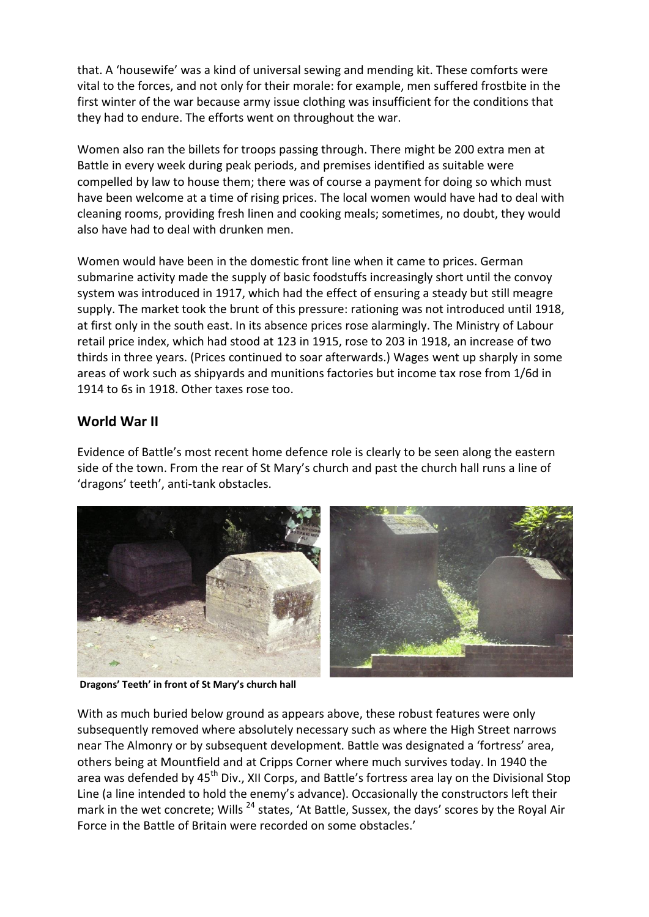that. A 'housewife' was a kind of universal sewing and mending kit. These comforts were vital to the forces, and not only for their morale: for example, men suffered frostbite in the first winter of the war because army issue clothing was insufficient for the conditions that they had to endure. The efforts went on throughout the war.

Women also ran the billets for troops passing through. There might be 200 extra men at Battle in every week during peak periods, and premises identified as suitable were compelled by law to house them; there was of course a payment for doing so which must have been welcome at a time of rising prices. The local women would have had to deal with cleaning rooms, providing fresh linen and cooking meals; sometimes, no doubt, they would also have had to deal with drunken men.

Women would have been in the domestic front line when it came to prices. German submarine activity made the supply of basic foodstuffs increasingly short until the convoy system was introduced in 1917, which had the effect of ensuring a steady but still meagre supply. The market took the brunt of this pressure: rationing was not introduced until 1918, at first only in the south east. In its absence prices rose alarmingly. The Ministry of Labour retail price index, which had stood at 123 in 1915, rose to 203 in 1918, an increase of two thirds in three years. (Prices continued to soar afterwards.) Wages went up sharply in some areas of work such as shipyards and munitions factories but income tax rose from 1/6d in 1914 to 6s in 1918. Other taxes rose too.

## **World War II**

Evidence of Battle's most recent home defence role is clearly to be seen along the eastern side of the town. From the rear of St Mary's church and past the church hall runs a line of 'dragons' teeth', anti-tank obstacles.



**Dragons' Teeth' in front of St Mary's church hall**

With as much buried below ground as appears above, these robust features were only subsequently removed where absolutely necessary such as where the High Street narrows near The Almonry or by subsequent development. Battle was designated a 'fortress' area, others being at Mountfield and at Cripps Corner where much survives today. In 1940 the area was defended by 45<sup>th</sup> Div., XII Corps, and Battle's fortress area lay on the Divisional Stop Line (a line intended to hold the enemy's advance). Occasionally the constructors left their mark in the wet concrete; Wills <sup>24</sup> states, 'At Battle, Sussex, the days' scores by the Royal Air Force in the Battle of Britain were recorded on some obstacles.'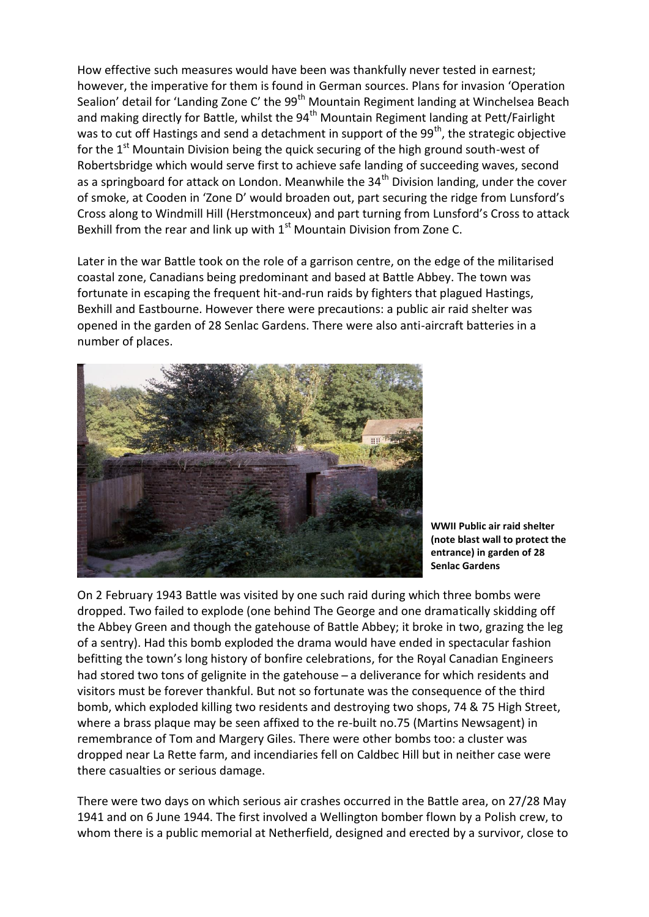How effective such measures would have been was thankfully never tested in earnest; however, the imperative for them is found in German sources. Plans for invasion 'Operation Sealion' detail for 'Landing Zone C' the  $99<sup>th</sup>$  Mountain Regiment landing at Winchelsea Beach and making directly for Battle, whilst the 94<sup>th</sup> Mountain Regiment landing at Pett/Fairlight was to cut off Hastings and send a detachment in support of the 99<sup>th</sup>, the strategic objective for the  $1<sup>st</sup>$  Mountain Division being the quick securing of the high ground south-west of Robertsbridge which would serve first to achieve safe landing of succeeding waves, second as a springboard for attack on London. Meanwhile the  $34<sup>th</sup>$  Division landing, under the cover of smoke, at Cooden in 'Zone D' would broaden out, part securing the ridge from Lunsford's Cross along to Windmill Hill (Herstmonceux) and part turning from Lunsford's Cross to attack Bexhill from the rear and link up with  $1<sup>st</sup>$  Mountain Division from Zone C.

Later in the war Battle took on the role of a garrison centre, on the edge of the militarised coastal zone, Canadians being predominant and based at Battle Abbey. The town was fortunate in escaping the frequent hit-and-run raids by fighters that plagued Hastings, Bexhill and Eastbourne. However there were precautions: a public air raid shelter was opened in the garden of 28 Senlac Gardens. There were also anti-aircraft batteries in a number of places.



**WWII Public air raid shelter (note blast wall to protect the entrance) in garden of 28 Senlac Gardens**

On 2 February 1943 Battle was visited by one such raid during which three bombs were dropped. Two failed to explode (one behind The George and one dramatically skidding off the Abbey Green and though the gatehouse of Battle Abbey; it broke in two, grazing the leg of a sentry). Had this bomb exploded the drama would have ended in spectacular fashion befitting the town's long history of bonfire celebrations, for the Royal Canadian Engineers had stored two tons of gelignite in the gatehouse – a deliverance for which residents and visitors must be forever thankful. But not so fortunate was the consequence of the third bomb, which exploded killing two residents and destroying two shops, 74 & 75 High Street, where a brass plaque may be seen affixed to the re-built no.75 (Martins Newsagent) in remembrance of Tom and Margery Giles. There were other bombs too: a cluster was dropped near La Rette farm, and incendiaries fell on Caldbec Hill but in neither case were there casualties or serious damage.

There were two days on which serious air crashes occurred in the Battle area, on 27/28 May 1941 and on 6 June 1944. The first involved a Wellington bomber flown by a Polish crew, to whom there is a public memorial at Netherfield, designed and erected by a survivor, close to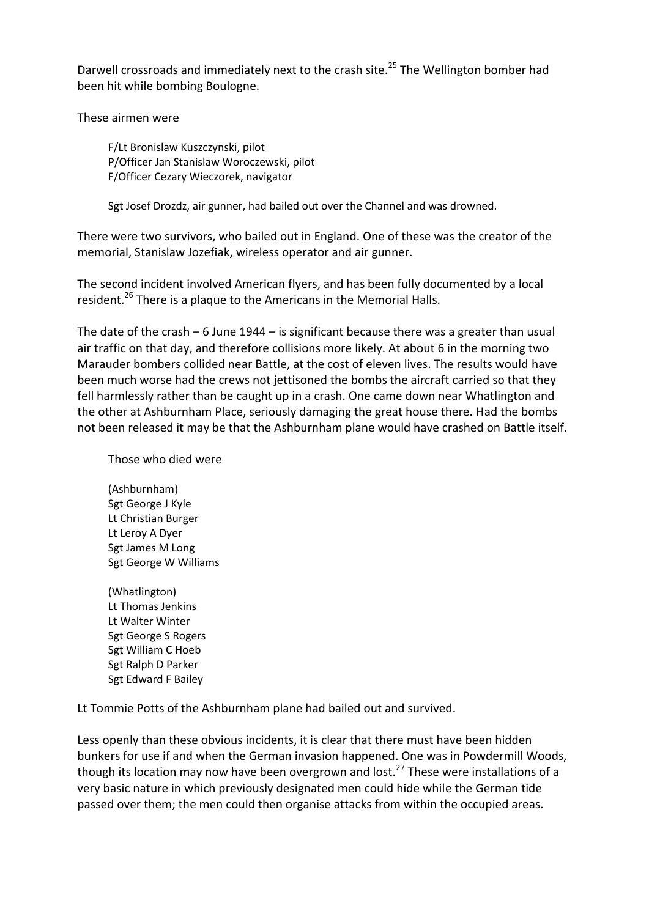Darwell crossroads and immediately next to the crash site.<sup>25</sup> The Wellington bomber had been hit while bombing Boulogne.

These airmen were

F/Lt Bronislaw Kuszczynski, pilot P/Officer Jan Stanislaw Woroczewski, pilot F/Officer Cezary Wieczorek, navigator

Sgt Josef Drozdz, air gunner, had bailed out over the Channel and was drowned.

There were two survivors, who bailed out in England. One of these was the creator of the memorial, Stanislaw Jozefiak, wireless operator and air gunner.

The second incident involved American flyers, and has been fully documented by a local resident.<sup>26</sup> There is a plaque to the Americans in the Memorial Halls.

The date of the crash – 6 June 1944 – is significant because there was a greater than usual air traffic on that day, and therefore collisions more likely. At about 6 in the morning two Marauder bombers collided near Battle, at the cost of eleven lives. The results would have been much worse had the crews not jettisoned the bombs the aircraft carried so that they fell harmlessly rather than be caught up in a crash. One came down near Whatlington and the other at Ashburnham Place, seriously damaging the great house there. Had the bombs not been released it may be that the Ashburnham plane would have crashed on Battle itself.

Those who died were

(Ashburnham) Sgt George J Kyle Lt Christian Burger Lt Leroy A Dyer Sgt James M Long Sgt George W Williams

(Whatlington) Lt Thomas Jenkins Lt Walter Winter Sgt George S Rogers Sgt William C Hoeb Sgt Ralph D Parker Sgt Edward F Bailey

Lt Tommie Potts of the Ashburnham plane had bailed out and survived.

Less openly than these obvious incidents, it is clear that there must have been hidden bunkers for use if and when the German invasion happened. One was in Powdermill Woods, though its location may now have been overgrown and lost.<sup>27</sup> These were installations of a very basic nature in which previously designated men could hide while the German tide passed over them; the men could then organise attacks from within the occupied areas.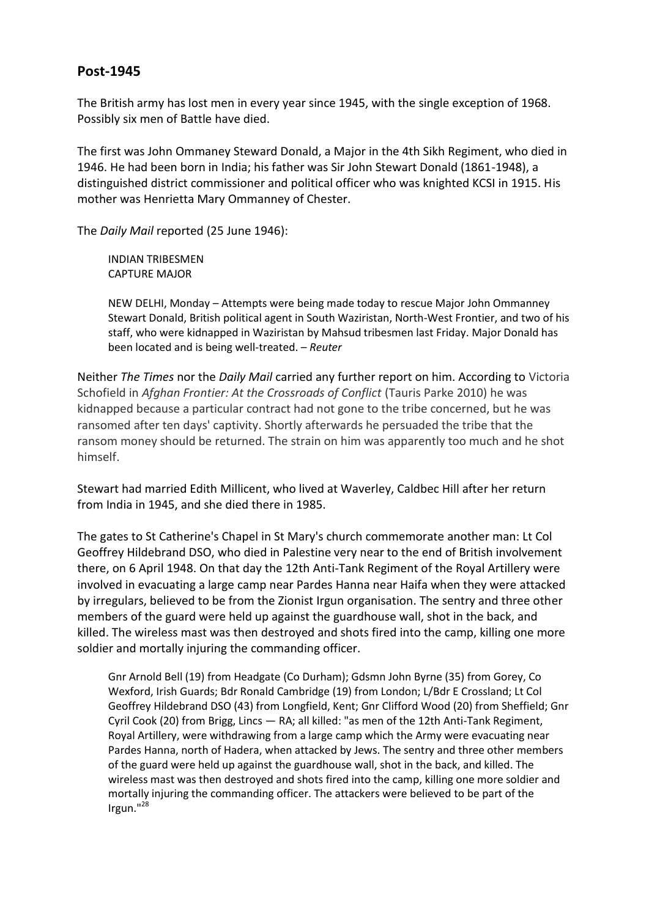#### **Post-1945**

The British army has lost men in every year since 1945, with the single exception of 1968. Possibly six men of Battle have died.

The first was John Ommaney Steward Donald, a Major in the 4th Sikh Regiment, who died in 1946. He had been born in India; his father was Sir John Stewart Donald (1861-1948), a distinguished district commissioner and political officer who was knighted KCSI in 1915. His mother was Henrietta Mary Ommanney of Chester.

The *Daily Mail* reported (25 June 1946):

INDIAN TRIBESMEN CAPTURE MAJOR

NEW DELHI, Monday – Attempts were being made today to rescue Major John Ommanney Stewart Donald, British political agent in South Waziristan, North-West Frontier, and two of his staff, who were kidnapped in Waziristan by Mahsud tribesmen last Friday. Major Donald has been located and is being well-treated. – *Reuter*

Neither *The Times* nor the *Daily Mail* carried any further report on him. According to Victoria Schofield in *Afghan Frontier: At the Crossroads of Conflict* (Tauris Parke 2010) he was kidnapped because a particular contract had not gone to the tribe concerned, but he was ransomed after ten days' captivity. Shortly afterwards he persuaded the tribe that the ransom money should be returned. The strain on him was apparently too much and he shot himself.

Stewart had married Edith Millicent, who lived at Waverley, Caldbec Hill after her return from India in 1945, and she died there in 1985.

The gates to St Catherine's Chapel in St Mary's church commemorate another man: Lt Col Geoffrey Hildebrand DSO, who died in Palestine very near to the end of British involvement there, on 6 April 1948. On that day the 12th Anti-Tank Regiment of the Royal Artillery were involved in evacuating a large camp near Pardes Hanna near Haifa when they were attacked by irregulars, believed to be from the Zionist Irgun organisation. The sentry and three other members of the guard were held up against the guardhouse wall, shot in the back, and killed. The wireless mast was then destroyed and shots fired into the camp, killing one more soldier and mortally injuring the commanding officer.

Gnr Arnold Bell (19) from Headgate (Co Durham); Gdsmn John Byrne (35) from Gorey, Co Wexford, Irish Guards; Bdr Ronald Cambridge (19) from London; L/Bdr E Crossland; Lt Col Geoffrey Hildebrand DSO (43) from Longfield, Kent; Gnr Clifford Wood (20) from Sheffield; Gnr Cyril Cook (20) from Brigg, Lincs — RA; all killed: "as men of the 12th Anti-Tank Regiment, Royal Artillery, were withdrawing from a large camp which the Army were evacuating near Pardes Hanna, north of Hadera, when attacked by Jews. The sentry and three other members of the guard were held up against the guardhouse wall, shot in the back, and killed. The wireless mast was then destroyed and shots fired into the camp, killing one more soldier and mortally injuring the commanding officer. The attackers were believed to be part of the Irgun."<sup>28</sup>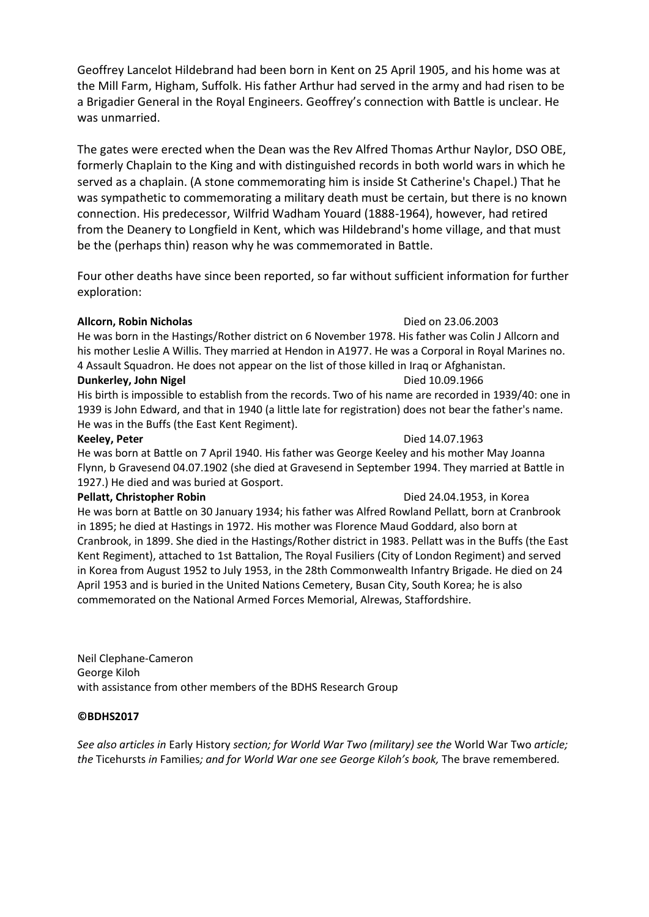Geoffrey Lancelot Hildebrand had been born in Kent on 25 April 1905, and his home was at the Mill Farm, Higham, Suffolk. His father Arthur had served in the army and had risen to be a Brigadier General in the Royal Engineers. Geoffrey's connection with Battle is unclear. He was unmarried.

The gates were erected when the Dean was the Rev Alfred Thomas Arthur Naylor, DSO OBE, formerly Chaplain to the King and with distinguished records in both world wars in which he served as a chaplain. (A stone commemorating him is inside St Catherine's Chapel.) That he was sympathetic to commemorating a military death must be certain, but there is no known connection. His predecessor, Wilfrid Wadham Youard (1888-1964), however, had retired from the Deanery to Longfield in Kent, which was Hildebrand's home village, and that must be the (perhaps thin) reason why he was commemorated in Battle.

Four other deaths have since been reported, so far without sufficient information for further exploration:

#### **Allcorn, Robin Nicholas** Died on 23.06.2003

He was born in the Hastings/Rother district on 6 November 1978. His father was Colin J Allcorn and his mother Leslie A Willis. They married at Hendon in A1977. He was a Corporal in Royal Marines no. 4 Assault Squadron. He does not appear on the list of those killed in Iraq or Afghanistan. **Dunkerley, John Nigel Community Community Community Community Community Community Community Community Community Community Community Community Community Community Community Community Community Community Community Community** 

His birth is impossible to establish from the records. Two of his name are recorded in 1939/40: one in 1939 is John Edward, and that in 1940 (a little late for registration) does not bear the father's name. He was in the Buffs (the East Kent Regiment).

#### **Keeley, Peter Contract Contract Contract Contract Contract Contract Contract Contract Contract Contract Contract Contract Contract Contract Contract Contract Contract Contract Contract Contract Contract Contract Contrac**

He was born at Battle on 7 April 1940. His father was George Keeley and his mother May Joanna Flynn, b Gravesend 04.07.1902 (she died at Gravesend in September 1994. They married at Battle in 1927.) He died and was buried at Gosport.

#### **Pellatt, Christopher Robin Died 24.04.1953**, in Korea

He was born at Battle on 30 January 1934; his father was Alfred Rowland Pellatt, born at Cranbrook in 1895; he died at Hastings in 1972. His mother was Florence Maud Goddard, also born at Cranbrook, in 1899. She died in the Hastings/Rother district in 1983. Pellatt was in the Buffs (the East Kent Regiment), attached to 1st Battalion, The Royal Fusiliers (City of London Regiment) and served in Korea from August 1952 to July 1953, in the 28th Commonwealth Infantry Brigade. He died on 24 April 1953 and is buried in the United Nations Cemetery, Busan City, South Korea; he is also commemorated on the National Armed Forces Memorial, Alrewas, Staffordshire.

Neil Clephane-Cameron George Kiloh with assistance from other members of the BDHS Research Group

#### **©BDHS2017**

*See also articles in* Early History *section; for World War Two (military) see the* World War Two *article; the* Ticehursts *in* Families*; and for World War one see George Kiloh's book,* The brave remembered*.*